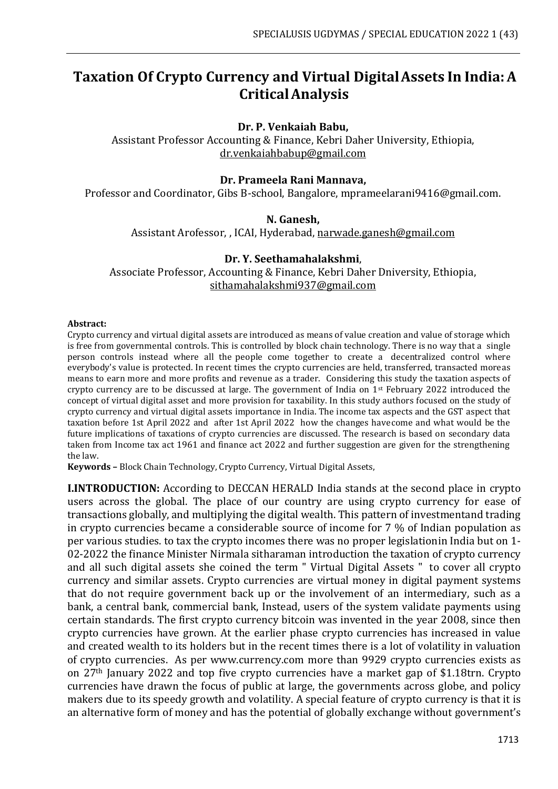# **Taxation Of Crypto Currency and Virtual DigitalAssets In India:A CriticalAnalysis**

## **Dr. P. Venkaiah Babu,**

Assistant Professor Accounting & Finance, Kebri Daher University, Ethiopia, [dr.venkaiahbabup@gmail.com](mailto:dr.venkaiahbabup@gmail.com)

#### **Dr. Prameela Rani Mannava,**

Professor and Coordinator, Gibs B-school, Bangalore, [mprameelarani9416@gmail.com.](mailto:mprameelarani9416@gmail.com)

#### **N. Ganesh,**

Assistant Arofessor, , ICAI, Hyderabad, [narwade.ganesh@gmail.com](mailto:narwade.ganesh@gmail.com)

#### **Dr. Y. Seethamahalakshmi**,

Associate Professor, Accounting & Finance, Kebri Daher Dniversity, Ethiopia, [sithamahalakshmi937@gmail.com](mailto:sithamahalakshmi937@gmail.com)

#### **Abstract:**

Crypto currency and virtual digital assets are introduced as means of value creation and value of storage which is free from governmental controls. This is controlled by block chain technology. There is no way that a single person controls instead where all the people come together to create a decentralized control where everybody's value is protected. In recent times the crypto currencies are held, transferred, transacted moreas means to earn more and more profits and revenue as a trader. Considering this study the taxation aspects of crypto currency are to be discussed at large. The government of India on 1st February 2022 introduced the concept of virtual digital asset and more provision for taxability. In this study authors focused on the study of crypto currency and virtual digital assets importance in India. The income tax aspects and the GST aspect that taxation before 1st April 2022 and after 1st April 2022 how the changes havecome and what would be the future implications of taxations of crypto currencies are discussed. The research is based on secondary data taken from Income tax act 1961 and finance act 2022 and further suggestion are given for the strengthening the law.

**Keywords –** Block Chain Technology, Crypto Currency, Virtual Digital Assets,

**I.INTRODUCTION:** According to DECCAN HERALD India stands at the second place in crypto users across the global. The place of our country are using crypto currency for ease of transactions globally, and multiplying the digital wealth. This pattern of investmentand trading in crypto currencies became a considerable source of income for 7 % of Indian population as per various studies. to tax the crypto incomes there was no proper legislationin India but on 1- 02-2022 the finance Minister Nirmala sitharaman introduction the taxation of crypto currency and all such digital assets she coined the term " Virtual Digital Assets " to cover all crypto currency and similar assets. Crypto currencies are virtual money in digital payment systems that do not require government back up or the involvement of an intermediary, such as a bank, a central bank, commercial bank, Instead, users of the system validate payments using certain standards. The first crypto currency bitcoin was invented in the year 2008, since then crypto currencies have grown. At the earlier phase crypto currencies has increased in value and created wealth to its holders but in the recent times there is a lot of volatility in valuation of crypto currencies. As per [www.currency.com](http://www.currency.com/) more than 9929 crypto currencies exists as on 27th January 2022 and top five crypto currencies have a market gap of \$1.18trn. Crypto currencies have drawn the focus of public at large, the governments across globe, and policy makers due to its speedy growth and volatility. A special feature of crypto currency is that it is an alternative form of money and has the potential of globally exchange without government's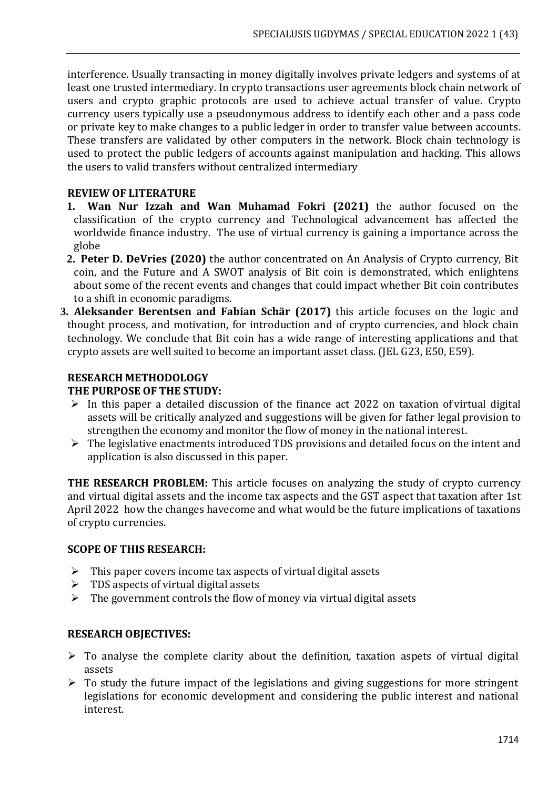interference. Usually transacting in money digitally involves private ledgers and systems of at least one trusted intermediary. In crypto transactions user agreements block chain network of users and crypto graphic protocols are used to achieve actual transfer of value. Crypto currency users typically use a pseudonymous address to identify each other and a pass code or private key to make changes to a public ledger in order to transfer value between accounts. These transfers are validated by other computers in the network. Block chain technology is used to protect the public ledgers of accounts against manipulation and hacking. This allows the users to valid transfers without centralized intermediary

## **REVIEW OF LITERATURE**

- **1. Wan Nur Izzah and Wan Muhamad Fokri (2021)** the author focused on the classification of the crypto currency and Technological advancement has affected the worldwide finance industry. The use of virtual currency is gaining a importance across the globe
- **2. Peter D. DeVries (2020)** the author concentrated on An Analysis of Crypto currency, Bit coin, and the Future and A SWOT analysis of Bit coin is demonstrated, which enlightens about some of the recent events and changes that could impact whether Bit coin contributes to a shift in economic paradigms.
- **3. Aleksander Berentsen and Fabian Schär (2017)** this article focuses on the logic and thought process, and motivation, for introduction and of crypto currencies, and block chain technology. We conclude that Bit coin has a wide range of interesting applications and that crypto assets are well suited to become an important asset class. (JEL G23, E50, E59).

## **RESEARCH METHODOLOGY**

## **THE PURPOSE OF THE STUDY:**

- $\triangleright$  In this paper a detailed discussion of the finance act 2022 on taxation of virtual digital assets will be critically analyzed and suggestions will be given for father legal provision to strengthen the economy and monitor the flow of money in the national interest.
- ➢ The legislative enactments introduced TDS provisions and detailed focus on the intent and application is also discussed in this paper.

**THE RESEARCH PROBLEM:** This article focuses on analyzing the study of crypto currency and virtual digital assets and the income tax aspects and the GST aspect that taxation after 1st April 2022 how the changes havecome and what would be the future implications of taxations of crypto currencies.

## **SCOPE OF THIS RESEARCH:**

- $\triangleright$  This paper covers income tax aspects of virtual digital assets
- $\triangleright$  TDS aspects of virtual digital assets
- $\triangleright$  The government controls the flow of money via virtual digital assets

## **RESEARCH OBJECTIVES:**

- $\triangleright$  To analyse the complete clarity about the definition, taxation aspets of virtual digital assets
- $\triangleright$  To study the future impact of the legislations and giving suggestions for more stringent legislations for economic development and considering the public interest and national interest.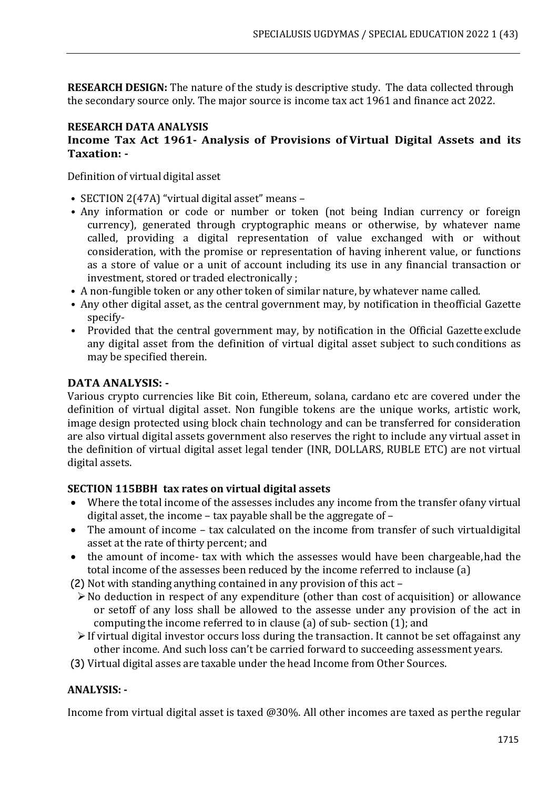**RESEARCH DESIGN:** The nature of the study is descriptive study. The data collected through the secondary source only. The major source is income tax act 1961 and finance act 2022.

### **RESEARCH DATA ANALYSIS Income Tax Act 1961- Analysis of Provisions of Virtual Digital Assets and its Taxation: -**

Definition of virtual digital asset

- SECTION 2(47A) "virtual digital asset" means –
- Any information or code or number or token (not being Indian currency or foreign currency), generated through cryptographic means or otherwise, by whatever name called, providing a digital representation of value exchanged with or without consideration, with the promise or representation of having inherent value, or functions as a store of value or a unit of account including its use in any financial transaction or investment, stored or traded electronically ;
- A non-fungible token or any other token of similar nature, by whatever name called.
- Any other digital asset, as the central government may, by notification in theofficial Gazette specify-
- Provided that the central government may, by notification in the Official Gazette exclude any digital asset from the definition of virtual digital asset subject to such conditions as may be specified therein.

## **DATA ANALYSIS: -**

Various crypto currencies like Bit coin, Ethereum, solana, cardano etc are covered under the definition of virtual digital asset. Non fungible tokens are the unique works, artistic work, image design protected using block chain technology and can be transferred for consideration are also virtual digital assets government also reserves the right to include any virtual asset in the definition of virtual digital asset legal tender (INR, DOLLARS, RUBLE ETC) are not virtual digital assets.

## **SECTION 115BBH tax rates on virtual digital assets**

- Where the total income of the assesses includes any income from the transfer ofany virtual digital asset, the income – tax payable shall be the aggregate of –
- The amount of income tax calculated on the income from transfer of such virtualdigital asset at the rate of thirty percent; and
- the amount of income- tax with which the assesses would have been chargeable, had the total income of the assesses been reduced by the income referred to inclause (a)
- (2) Not with standing anything contained in any provision of this act
	- ➢No deduction in respect of any expenditure (other than cost of acquisition) or allowance or setoff of any loss shall be allowed to the assesse under any provision of the act in computing the income referred to in clause (a) of sub- section (1); and
	- ➢If virtual digital investor occurs loss during the transaction. It cannot be set offagainst any other income. And such loss can't be carried forward to succeeding assessment years.
- (3) Virtual digital asses are taxable under the head Income from Other Sources.

## **ANALYSIS: -**

Income from virtual digital asset is taxed @30%. All other incomes are taxed as perthe regular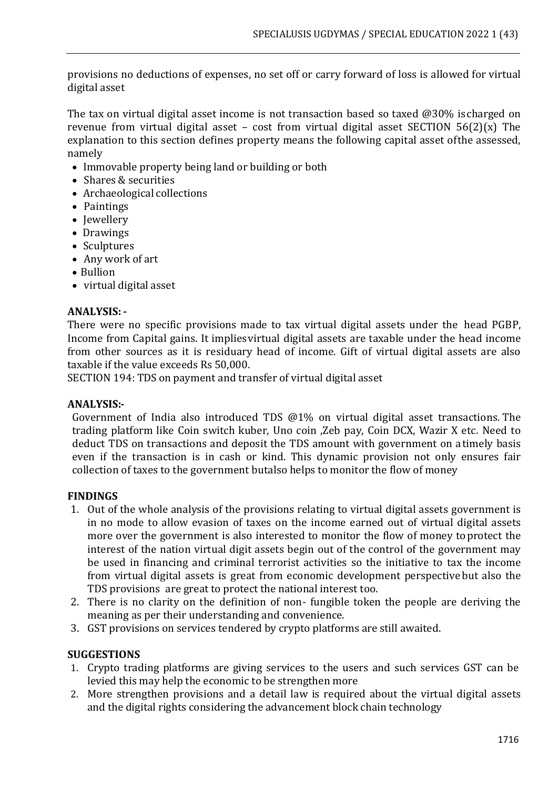provisions no deductions of expenses, no set off or carry forward of loss is allowed for virtual digital asset

The tax on virtual digital asset income is not transaction based so taxed @30% is charged on revenue from virtual digital asset – cost from virtual digital asset SECTION  $56(2)(x)$  The explanation to this section defines property means the following capital asset ofthe assessed, namely

- Immovable property being land or building or both
- Shares & securities
- Archaeological collections
- Paintings
- Jewellery
- Drawings
- Sculptures
- Any work of art
- Bullion
- virtual digital asset

## **ANALYSIS: -**

There were no specific provisions made to tax virtual digital assets under the head PGBP, Income from Capital gains. It impliesvirtual digital assets are taxable under the head income from other sources as it is residuary head of income. Gift of virtual digital assets are also taxable if the value exceeds Rs 50,000.

SECTION 194: TDS on payment and transfer of virtual digital asset

## **ANALYSIS:-**

Government of India also introduced TDS @1% on virtual digital asset transactions. The trading platform like Coin switch kuber, Uno coin ,Zeb pay, Coin DCX, Wazir X etc. Need to deduct TDS on transactions and deposit the TDS amount with government on atimely basis even if the transaction is in cash or kind. This dynamic provision not only ensures fair collection of taxes to the government butalso helps to monitor the flow of money

## **FINDINGS**

- 1. Out of the whole analysis of the provisions relating to virtual digital assets government is in no mode to allow evasion of taxes on the income earned out of virtual digital assets more over the government is also interested to monitor the flow of money toprotect the interest of the nation virtual digit assets begin out of the control of the government may be used in financing and criminal terrorist activities so the initiative to tax the income from virtual digital assets is great from economic development perspective but also the TDS provisions are great to protect the national interest too.
- 2. There is no clarity on the definition of non- fungible token the people are deriving the meaning as per their understanding and convenience.
- 3. GST provisions on services tendered by crypto platforms are still awaited.

## **SUGGESTIONS**

- 1. Crypto trading platforms are giving services to the users and such services GST can be levied this may help the economic to be strengthen more
- 2. More strengthen provisions and a detail law is required about the virtual digital assets and the digital rights considering the advancement block chain technology